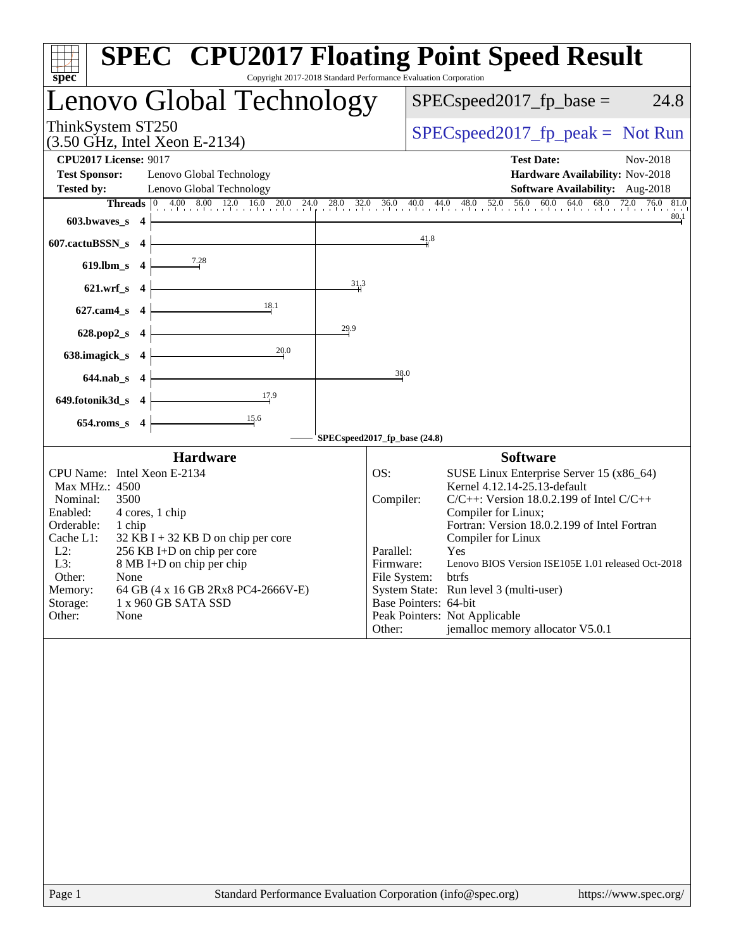| ĦП<br>spec <sup>®</sup>                                                                                                                                                                                                                                                                                                                                                            | <b>SPEC<sup>®</sup> CPU2017 Floating Point Speed Result</b><br>Copyright 2017-2018 Standard Performance Evaluation Corporation                                                                                                                                                                                                                                                                                                                                                                            |
|------------------------------------------------------------------------------------------------------------------------------------------------------------------------------------------------------------------------------------------------------------------------------------------------------------------------------------------------------------------------------------|-----------------------------------------------------------------------------------------------------------------------------------------------------------------------------------------------------------------------------------------------------------------------------------------------------------------------------------------------------------------------------------------------------------------------------------------------------------------------------------------------------------|
| Lenovo Global Technology                                                                                                                                                                                                                                                                                                                                                           | $SPEC speed2017_fp\_base =$<br>24.8                                                                                                                                                                                                                                                                                                                                                                                                                                                                       |
| ThinkSystem ST250<br>(3.50 GHz, Intel Xeon E-2134)                                                                                                                                                                                                                                                                                                                                 | $SPEC speed2017rfp peak = Not Run$                                                                                                                                                                                                                                                                                                                                                                                                                                                                        |
| <b>CPU2017 License: 9017</b><br><b>Test Sponsor:</b><br>Lenovo Global Technology<br>Lenovo Global Technology<br><b>Tested by:</b>                                                                                                                                                                                                                                                  | <b>Test Date:</b><br>Nov-2018<br>Hardware Availability: Nov-2018<br>Software Availability: Aug-2018                                                                                                                                                                                                                                                                                                                                                                                                       |
| 603.bwaves_s $4$                                                                                                                                                                                                                                                                                                                                                                   | <b>Threads</b> $\begin{bmatrix} 0 & 4.00 & 8.00 & 12.0 & 16.0 & 20.0 & 24.0 & 28.0 & 32.0 & 36.0 & 40.0 & 44.0 & 48.0 & 52.0 & 56.0 & 60.0 & 64.0 & 68.0 & 72.0 & 76.0 & 81.0 \\ 1 & 0 & 0 & 0 & 0 & 0 & 0 & 0 & 0 & 0 & 0 & 0 \\ 0 & 0 & 0 & 0 & 0 & 0 & 0 & 0 & 0 & 0 & 0 \\ 0 & 0 & 0 & 0 &$<br>80.1                                                                                                                                                                                                   |
| 607.cactuBSSN_s 4                                                                                                                                                                                                                                                                                                                                                                  | 41.8                                                                                                                                                                                                                                                                                                                                                                                                                                                                                                      |
| 619.lbm_s $4 \frac{7.28}{ }$                                                                                                                                                                                                                                                                                                                                                       |                                                                                                                                                                                                                                                                                                                                                                                                                                                                                                           |
| 621.wrf_s $4 \mid$<br>18.1<br>$627$ .cam4_s 4                                                                                                                                                                                                                                                                                                                                      | 313                                                                                                                                                                                                                                                                                                                                                                                                                                                                                                       |
| 29.9<br>628.pop2_s $4$                                                                                                                                                                                                                                                                                                                                                             |                                                                                                                                                                                                                                                                                                                                                                                                                                                                                                           |
| 20.0<br>638.imagick_s $4$                                                                                                                                                                                                                                                                                                                                                          |                                                                                                                                                                                                                                                                                                                                                                                                                                                                                                           |
| $644.nab_s$ 4                                                                                                                                                                                                                                                                                                                                                                      | 38.0                                                                                                                                                                                                                                                                                                                                                                                                                                                                                                      |
| $\frac{17.9}{ }$<br>649.fotonik3d_s 4                                                                                                                                                                                                                                                                                                                                              |                                                                                                                                                                                                                                                                                                                                                                                                                                                                                                           |
| $654$ .roms_s $4$                                                                                                                                                                                                                                                                                                                                                                  | SPECspeed2017_fp_base (24.8)                                                                                                                                                                                                                                                                                                                                                                                                                                                                              |
| <b>Hardware</b>                                                                                                                                                                                                                                                                                                                                                                    | <b>Software</b>                                                                                                                                                                                                                                                                                                                                                                                                                                                                                           |
| CPU Name: Intel Xeon E-2134<br>Max MHz.: 4500<br>Nominal:<br>3500<br>Enabled:<br>4 cores, 1 chip<br>Orderable:<br>1 chip<br>Cache L1:<br>$32$ KB I + 32 KB D on chip per core<br>$L2$ :<br>256 KB I+D on chip per core<br>L3:<br>8 MB I+D on chip per chip<br>Other:<br>None<br>64 GB (4 x 16 GB 2Rx8 PC4-2666V-E)<br>Memory:<br>Storage:<br>1 x 960 GB SATA SSD<br>Other:<br>None | OS:<br>SUSE Linux Enterprise Server 15 (x86_64)<br>Kernel 4.12.14-25.13-default<br>$C/C++$ : Version 18.0.2.199 of Intel $C/C++$<br>Compiler:<br>Compiler for Linux;<br>Fortran: Version 18.0.2.199 of Intel Fortran<br>Compiler for Linux<br>Parallel:<br>Yes<br>Lenovo BIOS Version ISE105E 1.01 released Oct-2018<br>Firmware:<br>File System: btrfs<br>System State: Run level 3 (multi-user)<br>Base Pointers: 64-bit<br>Peak Pointers: Not Applicable<br>jemalloc memory allocator V5.0.1<br>Other: |
|                                                                                                                                                                                                                                                                                                                                                                                    |                                                                                                                                                                                                                                                                                                                                                                                                                                                                                                           |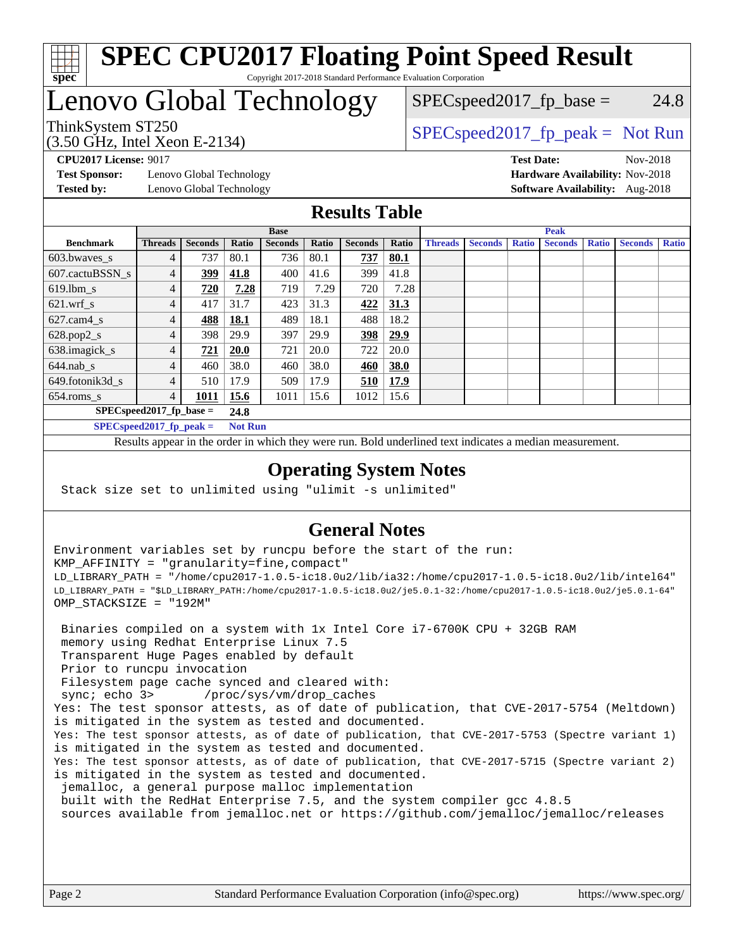

# Lenovo Global Technology

(3.50 GHz, Intel Xeon E-2134)

 $SPEC speed2017_fp\_base = 24.8$ 

ThinkSystem ST250  $SPEC speed2017$  [p\_peak = Not Run

**[Test Sponsor:](http://www.spec.org/auto/cpu2017/Docs/result-fields.html#TestSponsor)** Lenovo Global Technology **[Hardware Availability:](http://www.spec.org/auto/cpu2017/Docs/result-fields.html#HardwareAvailability)** Nov-2018 **[Tested by:](http://www.spec.org/auto/cpu2017/Docs/result-fields.html#Testedby)** Lenovo Global Technology **[Software Availability:](http://www.spec.org/auto/cpu2017/Docs/result-fields.html#SoftwareAvailability)** Aug-2018

**[CPU2017 License:](http://www.spec.org/auto/cpu2017/Docs/result-fields.html#CPU2017License)** 9017 **[Test Date:](http://www.spec.org/auto/cpu2017/Docs/result-fields.html#TestDate)** Nov-2018

#### **[Results Table](http://www.spec.org/auto/cpu2017/Docs/result-fields.html#ResultsTable)**

|                                    | <b>Base</b>    |                |             |                |       |                | <b>Peak</b> |                |                |              |                |              |                |              |
|------------------------------------|----------------|----------------|-------------|----------------|-------|----------------|-------------|----------------|----------------|--------------|----------------|--------------|----------------|--------------|
| <b>Benchmark</b>                   | <b>Threads</b> | <b>Seconds</b> | Ratio       | <b>Seconds</b> | Ratio | <b>Seconds</b> | Ratio       | <b>Threads</b> | <b>Seconds</b> | <b>Ratio</b> | <b>Seconds</b> | <b>Ratio</b> | <b>Seconds</b> | <b>Ratio</b> |
| 603.bwayes_s                       | 4              | 737            | 80.1        | 736            | 80.1  | 737            | 80.1        |                |                |              |                |              |                |              |
| 607.cactuBSSN s                    | 4              | 399            | 41.8        | 400            | 41.6  | 399            | 41.8        |                |                |              |                |              |                |              |
| $619.1$ bm s                       | 4              | 720            | 7.28        | 719            | 7.29  | 720            | 7.28        |                |                |              |                |              |                |              |
| $621.wrf$ s                        | 4              | 417            | 31.7        | 423            | 31.3  | 422            | 31.3        |                |                |              |                |              |                |              |
| $627.cam4_s$                       | 4              | 488            | <b>18.1</b> | 489            | 18.1  | 488            | 18.2        |                |                |              |                |              |                |              |
| $628.pop2_s$                       | 4              | 398            | 29.9        | 397            | 29.9  | <u>398</u>     | 29.9        |                |                |              |                |              |                |              |
| 638.imagick_s                      | 4              | 721            | <b>20.0</b> | 721            | 20.0  | 722            | 20.0        |                |                |              |                |              |                |              |
| $644$ .nab s                       | 4              | 460            | 38.0        | 460            | 38.0  | 460            | 38.0        |                |                |              |                |              |                |              |
| 649.fotonik3d s                    | 4              | 510            | 17.9        | 509            | 17.9  | 510            | 17.9        |                |                |              |                |              |                |              |
| $654$ .roms s                      | 4              | 1011           | 15.6        | 1011           | 15.6  | 1012           | 15.6        |                |                |              |                |              |                |              |
| $SPEC speed2017$ fp base =<br>24.8 |                |                |             |                |       |                |             |                |                |              |                |              |                |              |
| $SPECspeed2017_fp\_peak =$         | <b>Not Run</b> |                |             |                |       |                |             |                |                |              |                |              |                |              |

Results appear in the [order in which they were run.](http://www.spec.org/auto/cpu2017/Docs/result-fields.html#RunOrder) Bold underlined text [indicates a median measurement](http://www.spec.org/auto/cpu2017/Docs/result-fields.html#Median).

#### **[Operating System Notes](http://www.spec.org/auto/cpu2017/Docs/result-fields.html#OperatingSystemNotes)**

Stack size set to unlimited using "ulimit -s unlimited"

#### **[General Notes](http://www.spec.org/auto/cpu2017/Docs/result-fields.html#GeneralNotes)**

Environment variables set by runcpu before the start of the run: KMP\_AFFINITY = "granularity=fine,compact" LD\_LIBRARY\_PATH = "/home/cpu2017-1.0.5-ic18.0u2/lib/ia32:/home/cpu2017-1.0.5-ic18.0u2/lib/intel64" LD\_LIBRARY\_PATH = "\$LD\_LIBRARY\_PATH:/home/cpu2017-1.0.5-ic18.0u2/je5.0.1-32:/home/cpu2017-1.0.5-ic18.0u2/je5.0.1-64" OMP\_STACKSIZE = "192M"

 Binaries compiled on a system with 1x Intel Core i7-6700K CPU + 32GB RAM memory using Redhat Enterprise Linux 7.5 Transparent Huge Pages enabled by default Prior to runcpu invocation Filesystem page cache synced and cleared with: sync; echo 3> /proc/sys/vm/drop\_caches Yes: The test sponsor attests, as of date of publication, that CVE-2017-5754 (Meltdown) is mitigated in the system as tested and documented. Yes: The test sponsor attests, as of date of publication, that CVE-2017-5753 (Spectre variant 1) is mitigated in the system as tested and documented. Yes: The test sponsor attests, as of date of publication, that CVE-2017-5715 (Spectre variant 2) is mitigated in the system as tested and documented. jemalloc, a general purpose malloc implementation built with the RedHat Enterprise 7.5, and the system compiler gcc 4.8.5 sources available from jemalloc.net or <https://github.com/jemalloc/jemalloc/releases>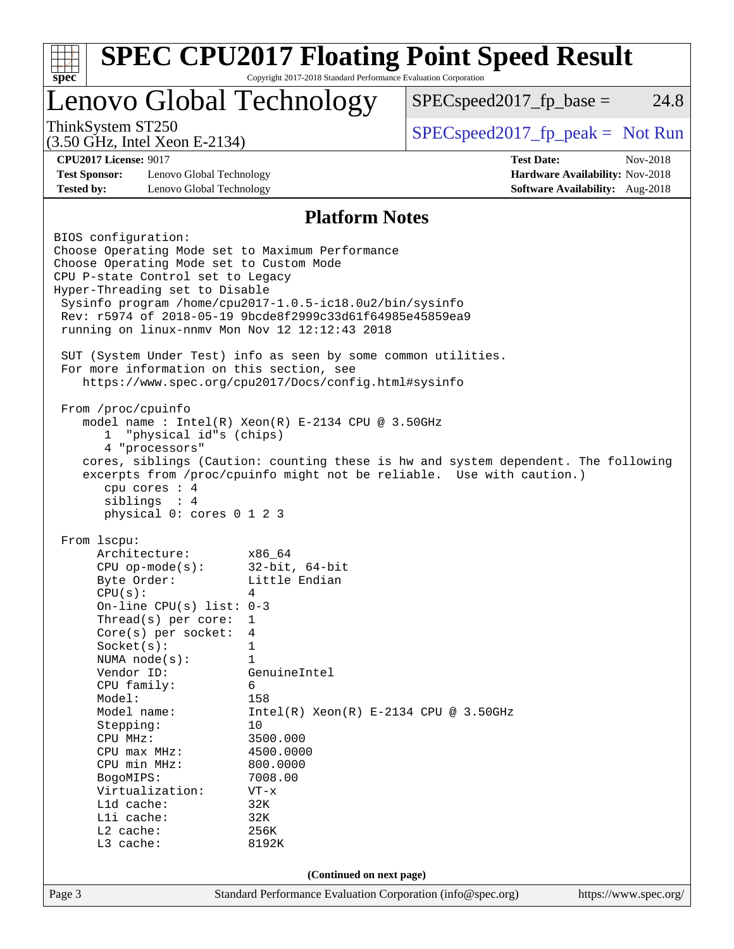|                                                                                                             | Lenovo Global Technology                                | $SPEC speed2017fr base =$                                                          | 24.8     |  |
|-------------------------------------------------------------------------------------------------------------|---------------------------------------------------------|------------------------------------------------------------------------------------|----------|--|
| ThinkSystem ST250                                                                                           |                                                         | $SPEC speed2017rfp peak = Not Run$                                                 |          |  |
| (3.50 GHz, Intel Xeon E-2134)                                                                               |                                                         |                                                                                    |          |  |
| <b>CPU2017 License: 9017</b><br><b>Test Sponsor:</b><br>Lenovo Global Technology                            |                                                         | <b>Test Date:</b><br>Hardware Availability: Nov-2018                               | Nov-2018 |  |
| <b>Tested by:</b><br>Lenovo Global Technology                                                               |                                                         | Software Availability: Aug-2018                                                    |          |  |
|                                                                                                             | <b>Platform Notes</b>                                   |                                                                                    |          |  |
| BIOS configuration:                                                                                         |                                                         |                                                                                    |          |  |
| Choose Operating Mode set to Maximum Performance                                                            |                                                         |                                                                                    |          |  |
| Choose Operating Mode set to Custom Mode                                                                    |                                                         |                                                                                    |          |  |
| CPU P-state Control set to Legacy                                                                           |                                                         |                                                                                    |          |  |
| Hyper-Threading set to Disable                                                                              |                                                         |                                                                                    |          |  |
| Sysinfo program /home/cpu2017-1.0.5-ic18.0u2/bin/sysinfo                                                    |                                                         |                                                                                    |          |  |
| Rev: r5974 of 2018-05-19 9bcde8f2999c33d61f64985e45859ea9<br>running on linux-nnmv Mon Nov 12 12:12:43 2018 |                                                         |                                                                                    |          |  |
|                                                                                                             |                                                         |                                                                                    |          |  |
| SUT (System Under Test) info as seen by some common utilities.                                              |                                                         |                                                                                    |          |  |
| For more information on this section, see                                                                   | https://www.spec.org/cpu2017/Docs/config.html#sysinfo   |                                                                                    |          |  |
|                                                                                                             |                                                         |                                                                                    |          |  |
| From /proc/cpuinfo                                                                                          |                                                         |                                                                                    |          |  |
|                                                                                                             | model name : $Intel(R)$ Xeon $(R)$ E-2134 CPU @ 3.50GHz |                                                                                    |          |  |
|                                                                                                             |                                                         |                                                                                    |          |  |
| "physical id"s (chips)<br>1                                                                                 |                                                         |                                                                                    |          |  |
| 4 "processors"                                                                                              |                                                         |                                                                                    |          |  |
|                                                                                                             |                                                         | cores, siblings (Caution: counting these is hw and system dependent. The following |          |  |
|                                                                                                             |                                                         | excerpts from /proc/cpuinfo might not be reliable. Use with caution.)              |          |  |
| cpu cores $: 4$                                                                                             |                                                         |                                                                                    |          |  |
| siblings : 4                                                                                                |                                                         |                                                                                    |          |  |
| physical 0: cores 0 1 2 3                                                                                   |                                                         |                                                                                    |          |  |
| From 1scpu:                                                                                                 |                                                         |                                                                                    |          |  |
| Architecture:                                                                                               | x86_64                                                  |                                                                                    |          |  |
| $CPU$ op-mode(s):                                                                                           | $32$ -bit, $64$ -bit                                    |                                                                                    |          |  |
| Byte Order:                                                                                                 | Little Endian                                           |                                                                                    |          |  |
| CPU(s):                                                                                                     | 4                                                       |                                                                                    |          |  |
| On-line CPU(s) list: $0-3$                                                                                  |                                                         |                                                                                    |          |  |
| Thread( $s$ ) per core:<br>$Core(s)$ per socket:                                                            | 1<br>4                                                  |                                                                                    |          |  |
| Socket(s):                                                                                                  | 1                                                       |                                                                                    |          |  |
| NUMA node(s):                                                                                               | 1                                                       |                                                                                    |          |  |
| Vendor ID:                                                                                                  | GenuineIntel                                            |                                                                                    |          |  |
| CPU family:                                                                                                 | 6                                                       |                                                                                    |          |  |
| Model:                                                                                                      | 158                                                     |                                                                                    |          |  |
| Model name:                                                                                                 | $Intel(R) Xeon(R) E-2134 CPU @ 3.50GHz$                 |                                                                                    |          |  |
| Stepping:                                                                                                   | 10                                                      |                                                                                    |          |  |
| CPU MHz:                                                                                                    | 3500.000                                                |                                                                                    |          |  |
| $CPU$ max $MHz:$                                                                                            | 4500.0000                                               |                                                                                    |          |  |
| CPU min MHz:                                                                                                | 800.0000                                                |                                                                                    |          |  |
| BogoMIPS:<br>Virtualization:                                                                                | 7008.00<br>$VT - x$                                     |                                                                                    |          |  |
| Lld cache:                                                                                                  | 32K                                                     |                                                                                    |          |  |
| Lli cache:                                                                                                  | 32K                                                     |                                                                                    |          |  |
| L2 cache:<br>L3 cache:                                                                                      | 256K<br>8192K                                           |                                                                                    |          |  |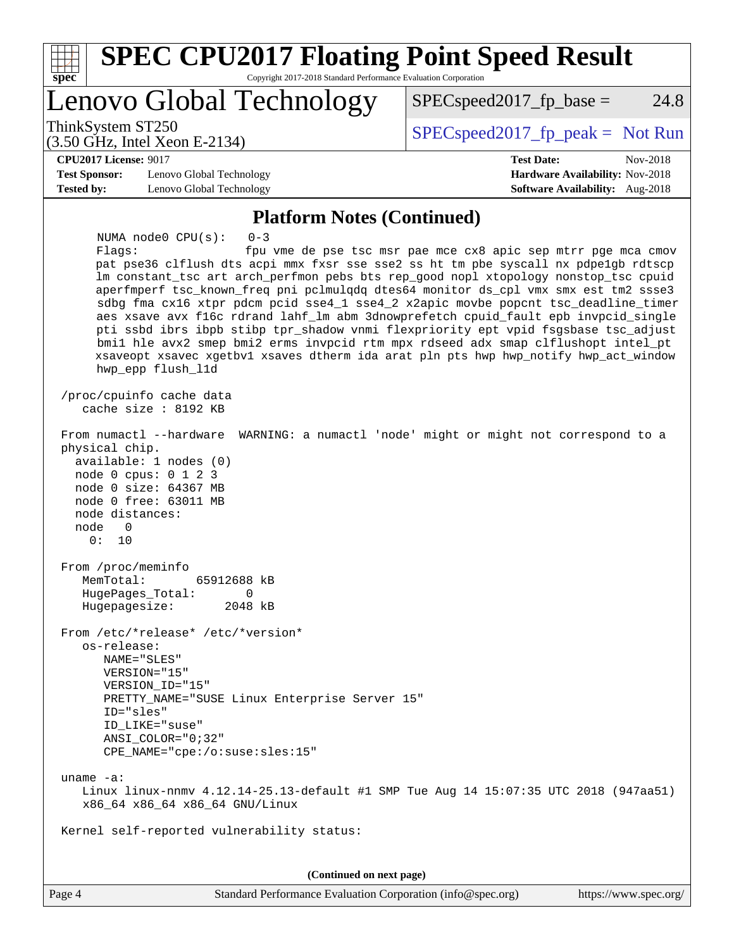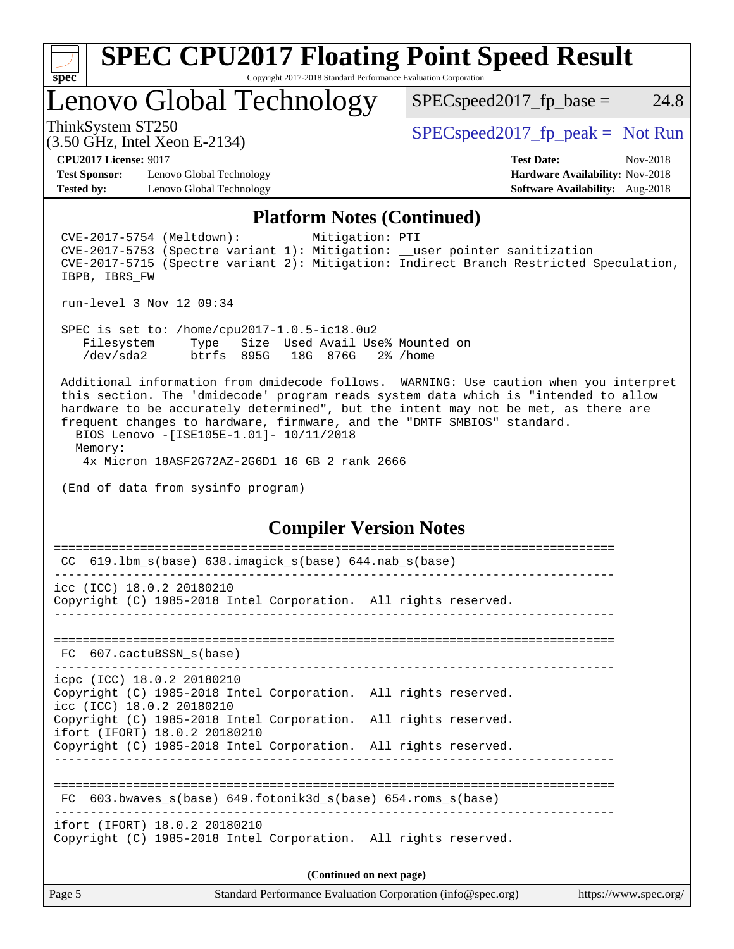

Lenovo Global Technology

 $SPEC speed2017_fp\_base = 24.8$ 

(3.50 GHz, Intel Xeon E-2134)

ThinkSystem ST250  $SPEC speed2017$  [p\_peak = Not Run

**[Test Sponsor:](http://www.spec.org/auto/cpu2017/Docs/result-fields.html#TestSponsor)** Lenovo Global Technology **[Hardware Availability:](http://www.spec.org/auto/cpu2017/Docs/result-fields.html#HardwareAvailability)** Nov-2018 **[Tested by:](http://www.spec.org/auto/cpu2017/Docs/result-fields.html#Testedby)** Lenovo Global Technology **[Software Availability:](http://www.spec.org/auto/cpu2017/Docs/result-fields.html#SoftwareAvailability)** Aug-2018

**[CPU2017 License:](http://www.spec.org/auto/cpu2017/Docs/result-fields.html#CPU2017License)** 9017 **[Test Date:](http://www.spec.org/auto/cpu2017/Docs/result-fields.html#TestDate)** Nov-2018

#### **[Platform Notes \(Continued\)](http://www.spec.org/auto/cpu2017/Docs/result-fields.html#PlatformNotes)**

 CVE-2017-5754 (Meltdown): Mitigation: PTI CVE-2017-5753 (Spectre variant 1): Mitigation: \_\_user pointer sanitization CVE-2017-5715 (Spectre variant 2): Mitigation: Indirect Branch Restricted Speculation, IBPB, IBRS\_FW

run-level 3 Nov 12 09:34

 SPEC is set to: /home/cpu2017-1.0.5-ic18.0u2 Filesystem Type Size Used Avail Use% Mounted on /dev/sda2 btrfs 895G 18G 876G 2% /home

 Additional information from dmidecode follows. WARNING: Use caution when you interpret this section. The 'dmidecode' program reads system data which is "intended to allow hardware to be accurately determined", but the intent may not be met, as there are frequent changes to hardware, firmware, and the "DMTF SMBIOS" standard. BIOS Lenovo -[ISE105E-1.01]- 10/11/2018

 Memory: 4x Micron 18ASF2G72AZ-2G6D1 16 GB 2 rank 2666

(End of data from sysinfo program)

#### **[Compiler Version Notes](http://www.spec.org/auto/cpu2017/Docs/result-fields.html#CompilerVersionNotes)**

| CC 619.1bm_s(base) 638.imagick_s(base) 644.nab_s(base)                                                                                                              |  |
|---------------------------------------------------------------------------------------------------------------------------------------------------------------------|--|
| icc (ICC) 18.0.2 20180210<br>Copyright (C) 1985-2018 Intel Corporation. All rights reserved.                                                                        |  |
| FC 607.cactuBSSN s(base)                                                                                                                                            |  |
| icpc (ICC) 18.0.2 20180210<br>Copyright (C) 1985-2018 Intel Corporation. All rights reserved.<br>icc (ICC) 18.0.2 20180210                                          |  |
| Copyright (C) 1985-2018 Intel Corporation. All rights reserved.<br>ifort (IFORT) 18.0.2 20180210<br>Copyright (C) 1985-2018 Intel Corporation. All rights reserved. |  |
|                                                                                                                                                                     |  |
| FC 603.bwaves s(base) 649.fotonik3d s(base) 654.roms s(base)                                                                                                        |  |
| ifort (IFORT) 18.0.2 20180210<br>Copyright (C) 1985-2018 Intel Corporation. All rights reserved.                                                                    |  |
| (Continued on next page)                                                                                                                                            |  |
| Page 5<br>Standard Performance Evaluation Corporation (info@spec.org)<br>https://www.spec.org/                                                                      |  |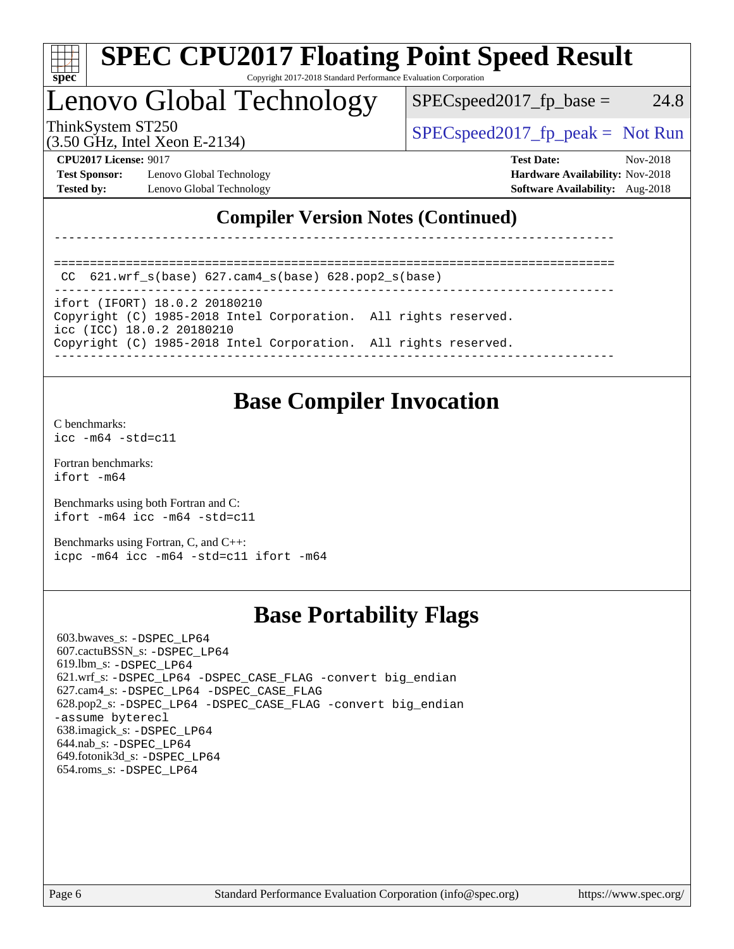

# Lenovo Global Technology

 $SPEC speed2017_fp\_base = 24.8$ 

(3.50 GHz, Intel Xeon E-2134)

ThinkSystem ST250  $SPEC speed2017$  [p\_peak = Not Run

**[Test Sponsor:](http://www.spec.org/auto/cpu2017/Docs/result-fields.html#TestSponsor)** Lenovo Global Technology **[Hardware Availability:](http://www.spec.org/auto/cpu2017/Docs/result-fields.html#HardwareAvailability)** Nov-2018 **[Tested by:](http://www.spec.org/auto/cpu2017/Docs/result-fields.html#Testedby)** Lenovo Global Technology **[Software Availability:](http://www.spec.org/auto/cpu2017/Docs/result-fields.html#SoftwareAvailability)** Aug-2018

**[CPU2017 License:](http://www.spec.org/auto/cpu2017/Docs/result-fields.html#CPU2017License)** 9017 **[Test Date:](http://www.spec.org/auto/cpu2017/Docs/result-fields.html#TestDate)** Nov-2018

### **[Compiler Version Notes \(Continued\)](http://www.spec.org/auto/cpu2017/Docs/result-fields.html#CompilerVersionNotes)**

------------------------------------------------------------------------------

```
==============================================================================
CC 621.wrf_s(base) 627.cam4_s(base) 628.pop2_s(base)
```
------------------------------------------------------------------------------

ifort (IFORT) 18.0.2 20180210 Copyright (C) 1985-2018 Intel Corporation. All rights reserved.

icc (ICC) 18.0.2 20180210

Copyright (C) 1985-2018 Intel Corporation. All rights reserved.

------------------------------------------------------------------------------

## **[Base Compiler Invocation](http://www.spec.org/auto/cpu2017/Docs/result-fields.html#BaseCompilerInvocation)**

[C benchmarks](http://www.spec.org/auto/cpu2017/Docs/result-fields.html#Cbenchmarks): [icc -m64 -std=c11](http://www.spec.org/cpu2017/results/res2018q4/cpu2017-20181210-10138.flags.html#user_CCbase_intel_icc_64bit_c11_33ee0cdaae7deeeab2a9725423ba97205ce30f63b9926c2519791662299b76a0318f32ddfffdc46587804de3178b4f9328c46fa7c2b0cd779d7a61945c91cd35)

[Fortran benchmarks](http://www.spec.org/auto/cpu2017/Docs/result-fields.html#Fortranbenchmarks): [ifort -m64](http://www.spec.org/cpu2017/results/res2018q4/cpu2017-20181210-10138.flags.html#user_FCbase_intel_ifort_64bit_24f2bb282fbaeffd6157abe4f878425411749daecae9a33200eee2bee2fe76f3b89351d69a8130dd5949958ce389cf37ff59a95e7a40d588e8d3a57e0c3fd751)

[Benchmarks using both Fortran and C](http://www.spec.org/auto/cpu2017/Docs/result-fields.html#BenchmarksusingbothFortranandC): [ifort -m64](http://www.spec.org/cpu2017/results/res2018q4/cpu2017-20181210-10138.flags.html#user_CC_FCbase_intel_ifort_64bit_24f2bb282fbaeffd6157abe4f878425411749daecae9a33200eee2bee2fe76f3b89351d69a8130dd5949958ce389cf37ff59a95e7a40d588e8d3a57e0c3fd751) [icc -m64 -std=c11](http://www.spec.org/cpu2017/results/res2018q4/cpu2017-20181210-10138.flags.html#user_CC_FCbase_intel_icc_64bit_c11_33ee0cdaae7deeeab2a9725423ba97205ce30f63b9926c2519791662299b76a0318f32ddfffdc46587804de3178b4f9328c46fa7c2b0cd779d7a61945c91cd35)

[Benchmarks using Fortran, C, and C++:](http://www.spec.org/auto/cpu2017/Docs/result-fields.html#BenchmarksusingFortranCandCXX) [icpc -m64](http://www.spec.org/cpu2017/results/res2018q4/cpu2017-20181210-10138.flags.html#user_CC_CXX_FCbase_intel_icpc_64bit_4ecb2543ae3f1412ef961e0650ca070fec7b7afdcd6ed48761b84423119d1bf6bdf5cad15b44d48e7256388bc77273b966e5eb805aefd121eb22e9299b2ec9d9) [icc -m64 -std=c11](http://www.spec.org/cpu2017/results/res2018q4/cpu2017-20181210-10138.flags.html#user_CC_CXX_FCbase_intel_icc_64bit_c11_33ee0cdaae7deeeab2a9725423ba97205ce30f63b9926c2519791662299b76a0318f32ddfffdc46587804de3178b4f9328c46fa7c2b0cd779d7a61945c91cd35) [ifort -m64](http://www.spec.org/cpu2017/results/res2018q4/cpu2017-20181210-10138.flags.html#user_CC_CXX_FCbase_intel_ifort_64bit_24f2bb282fbaeffd6157abe4f878425411749daecae9a33200eee2bee2fe76f3b89351d69a8130dd5949958ce389cf37ff59a95e7a40d588e8d3a57e0c3fd751)

## **[Base Portability Flags](http://www.spec.org/auto/cpu2017/Docs/result-fields.html#BasePortabilityFlags)**

 603.bwaves\_s: [-DSPEC\\_LP64](http://www.spec.org/cpu2017/results/res2018q4/cpu2017-20181210-10138.flags.html#suite_basePORTABILITY603_bwaves_s_DSPEC_LP64) 607.cactuBSSN\_s: [-DSPEC\\_LP64](http://www.spec.org/cpu2017/results/res2018q4/cpu2017-20181210-10138.flags.html#suite_basePORTABILITY607_cactuBSSN_s_DSPEC_LP64) 619.lbm\_s: [-DSPEC\\_LP64](http://www.spec.org/cpu2017/results/res2018q4/cpu2017-20181210-10138.flags.html#suite_basePORTABILITY619_lbm_s_DSPEC_LP64) 621.wrf\_s: [-DSPEC\\_LP64](http://www.spec.org/cpu2017/results/res2018q4/cpu2017-20181210-10138.flags.html#suite_basePORTABILITY621_wrf_s_DSPEC_LP64) [-DSPEC\\_CASE\\_FLAG](http://www.spec.org/cpu2017/results/res2018q4/cpu2017-20181210-10138.flags.html#b621.wrf_s_baseCPORTABILITY_DSPEC_CASE_FLAG) [-convert big\\_endian](http://www.spec.org/cpu2017/results/res2018q4/cpu2017-20181210-10138.flags.html#user_baseFPORTABILITY621_wrf_s_convert_big_endian_c3194028bc08c63ac5d04de18c48ce6d347e4e562e8892b8bdbdc0214820426deb8554edfa529a3fb25a586e65a3d812c835984020483e7e73212c4d31a38223) 627.cam4\_s: [-DSPEC\\_LP64](http://www.spec.org/cpu2017/results/res2018q4/cpu2017-20181210-10138.flags.html#suite_basePORTABILITY627_cam4_s_DSPEC_LP64) [-DSPEC\\_CASE\\_FLAG](http://www.spec.org/cpu2017/results/res2018q4/cpu2017-20181210-10138.flags.html#b627.cam4_s_baseCPORTABILITY_DSPEC_CASE_FLAG) 628.pop2\_s: [-DSPEC\\_LP64](http://www.spec.org/cpu2017/results/res2018q4/cpu2017-20181210-10138.flags.html#suite_basePORTABILITY628_pop2_s_DSPEC_LP64) [-DSPEC\\_CASE\\_FLAG](http://www.spec.org/cpu2017/results/res2018q4/cpu2017-20181210-10138.flags.html#b628.pop2_s_baseCPORTABILITY_DSPEC_CASE_FLAG) [-convert big\\_endian](http://www.spec.org/cpu2017/results/res2018q4/cpu2017-20181210-10138.flags.html#user_baseFPORTABILITY628_pop2_s_convert_big_endian_c3194028bc08c63ac5d04de18c48ce6d347e4e562e8892b8bdbdc0214820426deb8554edfa529a3fb25a586e65a3d812c835984020483e7e73212c4d31a38223) [-assume byterecl](http://www.spec.org/cpu2017/results/res2018q4/cpu2017-20181210-10138.flags.html#user_baseFPORTABILITY628_pop2_s_assume_byterecl_7e47d18b9513cf18525430bbf0f2177aa9bf368bc7a059c09b2c06a34b53bd3447c950d3f8d6c70e3faf3a05c8557d66a5798b567902e8849adc142926523472) 638.imagick\_s: [-DSPEC\\_LP64](http://www.spec.org/cpu2017/results/res2018q4/cpu2017-20181210-10138.flags.html#suite_basePORTABILITY638_imagick_s_DSPEC_LP64) 644.nab\_s: [-DSPEC\\_LP64](http://www.spec.org/cpu2017/results/res2018q4/cpu2017-20181210-10138.flags.html#suite_basePORTABILITY644_nab_s_DSPEC_LP64) 649.fotonik3d\_s: [-DSPEC\\_LP64](http://www.spec.org/cpu2017/results/res2018q4/cpu2017-20181210-10138.flags.html#suite_basePORTABILITY649_fotonik3d_s_DSPEC_LP64) 654.roms\_s: [-DSPEC\\_LP64](http://www.spec.org/cpu2017/results/res2018q4/cpu2017-20181210-10138.flags.html#suite_basePORTABILITY654_roms_s_DSPEC_LP64)